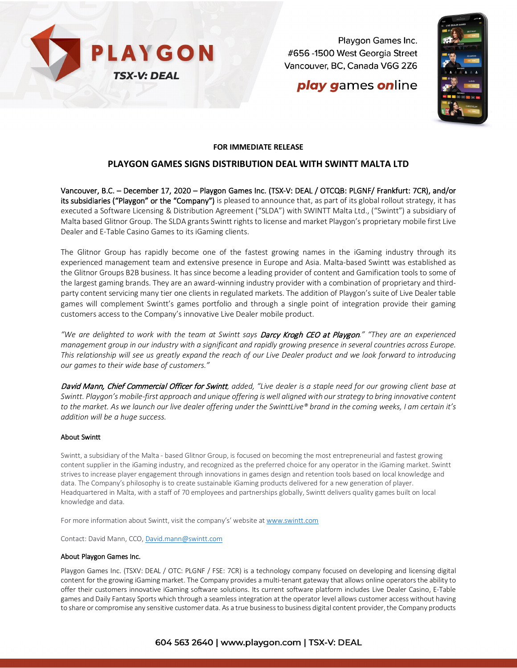

Playgon Games Inc. #656 -1500 West Georgia Street Vancouver, BC, Canada V6G 2Z6

## **play games online**



### **FOR IMMEDIATE RELEASE**

### **PLAYGON GAMES SIGNS DISTRIBUTION DEAL WITH SWINTT MALTA LTD**

Vancouver, B.C. – December 17, 2020 – Playgon Games Inc. (TSX-V: DEAL / OTCQB: PLGNF/ Frankfurt: 7CR), and/or its subsidiaries ("Playgon" or the "Company") is pleased to announce that, as part of its global rollout strategy, it has executed a Software Licensing & Distribution Agreement ("SLDA") with SWINTT Malta Ltd., ("Swintt") a subsidiary of Malta based Glitnor Group. The SLDA grants Swintt rights to license and market Playgon's proprietary mobile first Live Dealer and E-Table Casino Games to its iGaming clients.

The Glitnor Group has rapidly become one of the fastest growing names in the iGaming industry through its experienced management team and extensive presence in Europe and Asia. Malta-based Swintt was established as the Glitnor Groups B2B business. It has since become a leading provider of content and Gamification tools to some of the largest gaming brands. They are an award-winning industry provider with a combination of proprietary and thirdparty content servicing many tier one clients in regulated markets. The addition of Playgon's suite of Live Dealer table games will complement Swintt's games portfolio and through a single point of integration provide their gaming customers access to the Company's innovative Live Dealer mobile product.

*"We are delighted to work with the team at Swintt says* Darcy Krogh CEO at Playgon*." "They are an experienced management group in our industry with a significant and rapidly growing presence in several countries across Europe. This relationship will see us greatly expand the reach of our Live Dealer product and we look forward to introducing our games to their wide base of customers."*

David Mann, Chief Commercial Officer for Swintt*, added, "Live dealer is a staple need for our growing client base at Swintt. Playgon's mobile-first approach and unique offering is well aligned with our strategy to bring innovative content to the market. As we launch our live dealer offering under the SwinttLive® brand in the coming weeks, I am certain it's addition will be a huge success.*

#### About Swintt

Swintt, a subsidiary of the Malta - based Glitnor Group, is focused on becoming the most entrepreneurial and fastest growing content supplier in the iGaming industry, and recognized as the preferred choice for any operator in the iGaming market. Swintt strives to increase player engagement through innovations in games design and retention tools based on local knowledge and data. The Company's philosophy is to create sustainable iGaming products delivered for a new generation of player. Headquartered in Malta, with a staff of 70 employees and partnerships globally, Swintt delivers quality games built on local knowledge and data.

For more information about Swintt, visit the company's' website at [www.swintt.com](http://www.swintt.com/)

Contact: David Mann, CCO[, David.mann@swintt.com](mailto:David.mann@swintt.com)

#### About Playgon Games Inc.

Playgon Games Inc. (TSXV: DEAL / OTC: PLGNF / FSE: 7CR) is a technology company focused on developing and licensing digital content for the growing iGaming market. The Company provides a multi-tenant gateway that allows online operators the ability to offer their customers innovative iGaming software solutions. Its current software platform includes Live Dealer Casino, E-Table games and Daily Fantasy Sports which through a seamless integration at the operator level allows customer access without having to share or compromise any sensitive customer data. As a true business to business digital content provider, the Company products